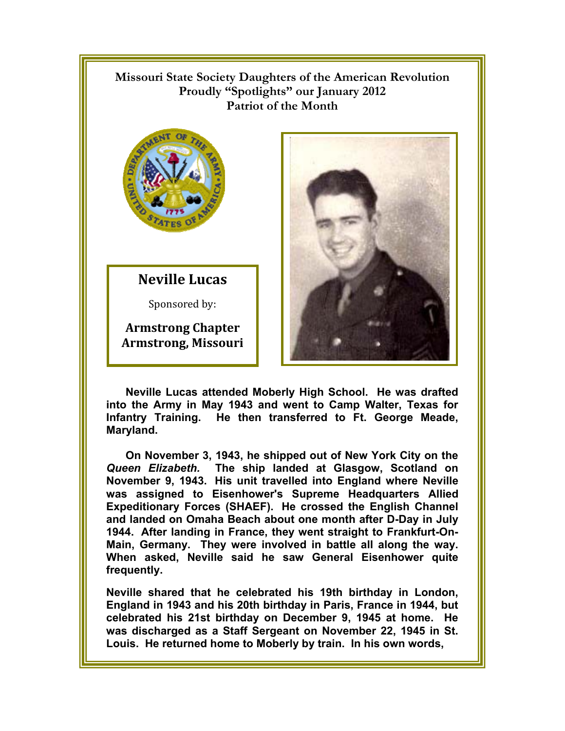## $\mathbb{R}$ **Missouri State Society Daughters of the American Revolution**  Proudly "Spotlights" our January 2012 **Patriot of the Month**



**Neville Lucas**

Sponsored by:

**Armstrong Chapter Armstrong, Missouri** 



**Neville Lucas attended Moberly High School. He was drafted into the Army in May 1943 and went to Camp Walter, Texas for Infantry Training. He then transferred to Ft. George Meade, Maryland.** 

**On November 3, 1943, he shipped out of New York City on the**  *Queen Elizabeth.* **The ship landed at Glasgow, Scotland on November 9, 1943. His unit travelled into England where Neville was assigned to Eisenhower's Supreme Headquarters Allied Expeditionary Forces (SHAEF). He crossed the English Channel and landed on Omaha Beach about one month after D-Day in July 1944. After landing in France, they went straight to Frankfurt-On-Main, Germany. They were involved in battle all along the way. When asked, Neville said he saw General Eisenhower quite frequently.** 

**Neville shared that he celebrated his 19th birthday in London, England in 1943 and his 20th birthday in Paris, France in 1944, but celebrated his 21st birthday on December 9, 1945 at home. He was discharged as a Staff Sergeant on November 22, 1945 in St. Louis. He returned home to Moberly by train. In his own words,**